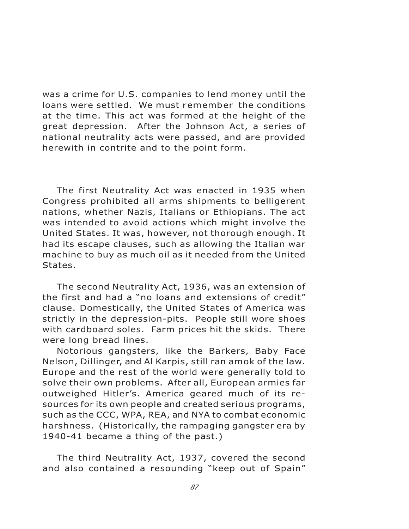was a crime for U.S. companies to lend money until the loans were settled. We must remember the conditions at the time. This act was formed at the height of the great depression. After the Johnson Act, a series of national neutrality acts were passed, and are provided herewith in contrite and to the point form.

The first Neutrality Act was enacted in 1935 when Congress prohibited all arms shipments to belligerent nations, whether Nazis, Italians or Ethiopians. The act was intended to avoid actions which might involve the United States. It was, however, not thorough enough. It had its escape clauses, such as allowing the Italian war machine to buy as much oil as it needed from the United States.

The second Neutrality Act, 1936, was an extension of the first and had a "no loans and extensions of credit" clause. Domestically, the United States of America was strictly in the depression-pits. People still wore shoes with cardboard soles. Farm prices hit the skids. There were long bread lines.

Notorious gangsters, like the Barkers, Baby Face Nelson, Dillinger, and Al Karpis, still ran amok of the law. Europe and the rest of the world were generally told to solve their own problems. After all, European armies far outweighed Hitler's. America geared much of its resources for its own people and created serious programs, such as the CCC, WPA, REA, and NYA to combat economic harshness. (Historically, the rampaging gangster era by 1940-41 became a thing of the past.)

The third Neutrality Act, 1937, covered the second and also contained a resounding "keep out of Spain"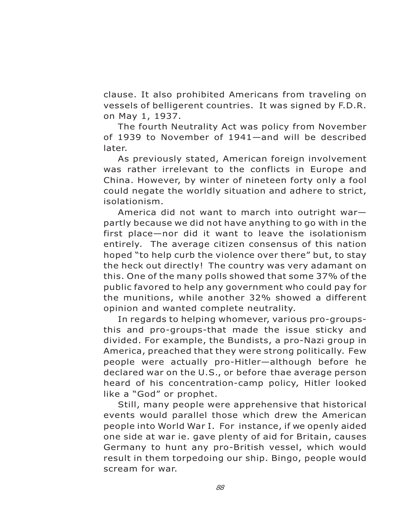clause. It also prohibited Americans from traveling on vessels of belligerent countries. It was signed by F.D.R. on May 1, 1937.

The fourth Neutrality Act was policy from November of 1939 to November of 1941—and will be described later.

As previously stated, American foreign involvement was rather irrelevant to the conflicts in Europe and China. However, by winter of nineteen forty only a fool could negate the worldly situation and adhere to strict, isolationism.

America did not want to march into outright war partly because we did not have anything to go with in the first place—nor did it want to leave the isolationism entirely. The average citizen consensus of this nation hoped "to help curb the violence over there" but, to stay the heck out directly! The country was very adamant on this. One of the many polls showed that some 37% of the public favored to help any government who could pay for the munitions, while another 32% showed a different opinion and wanted complete neutrality.

In regards to helping whomever, various pro-groupsthis and pro-groups-that made the issue sticky and divided. For example, the Bundists, a pro-Nazi group in America, preached that they were strong politically. Few people were actually pro-Hitler—although before he declared war on the U.S., or before thae average person heard of his concentration-camp policy, Hitler looked like a "God" or prophet.

Still, many people were apprehensive that historical events would parallel those which drew the American people into World War I. For instance, if we openly aided one side at war ie. gave plenty of aid for Britain, causes Germany to hunt any pro-British vessel, which would result in them torpedoing our ship. Bingo, people would scream for war.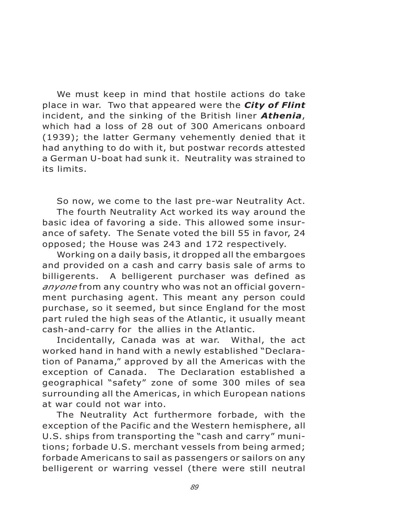We must keep in mind that hostile actions do take place in war. Two that appeared were the *City of Flint* incident, and the sinking of the British liner *Athenia*, which had a loss of 28 out of 300 Americans onboard (1939); the latter Germany vehemently denied that it had anything to do with it, but postwar records attested a German U-boat had sunk it. Neutrality was strained to its limits.

So now, we come to the last pre-war Neutrality Act. The fourth Neutrality Act worked its way around the basic idea of favoring a side. This allowed some insurance of safety. The Senate voted the bill 55 in favor, 24 opposed; the House was 243 and 172 respectively.

Working on a daily basis, it dropped all the embargoes and provided on a cash and carry basis sale of arms to billigerents. A belligerent purchaser was defined as *anyone* from any country who was not an official government purchasing agent. This meant any person could purchase, so it seemed, but since England for the most part ruled the high seas of the Atlantic, it usually meant cash-and-carry for the allies in the Atlantic.<br>Incidentally, Canada was at war. Withal, the act

Incidentally, Canada was at war. worked hand in hand with a newly established "Declaration of Panama," approved by all the Americas with the exception of Canada. The Declaration established a geographical "safety" zone of some 300 miles of sea surrounding all the Americas, in which European nations at war could not war into.

The Neutrality Act furthermore forbade, with the exception of the Pacific and the Western hemisphere, all U.S. ships from transporting the "cash and carry" munitions; forbade U.S. merchant vessels from being armed; forbade Americans to sail as passengers or sailors on any belligerent or warring vessel (there were still neutral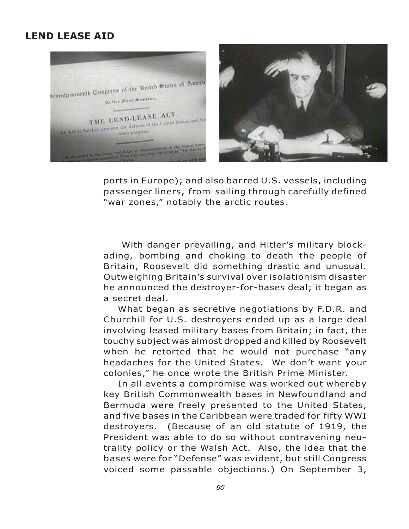## **LEND LEASE AID**



ports in Europe); and also bar red U.S. vessels, including passenger liners, from sailing through carefully defined "war zones," notably the arctic routes.

With danger prevailing, and Hitler's military blockading, bombing and choking to death the people of Britain, Roosevelt did something drastic and unusual. Outweighing Britain's survival over isolationism disaster he announced the destroyer-for-bases deal; it began as a secret deal.

What began as secretive negotiations by F.D.R. and Churchill for U.S. destroyers ended up as a large deal involving leased military bases from Britain; in fact, the touchy subject was almost dropped and killed by Roosevelt when he retorted that he would not purchase "any headaches for the United States. We don't want your colonies," he once wrote the British Prime Minister.

In all events a compromise was worked out whereby key British Commonwealth bases in Newfoundland and Bermuda were freely presented to the United States, and five bases in the Caribbean were traded for fifty WWI destroyers. (Because of an old statute of 1919, the President was able to do so without contravening neutrality policy or the Walsh Act. Also, the idea that the bases were for "Defense" was evident, but still Congress voiced some passable objections.) On September 3,